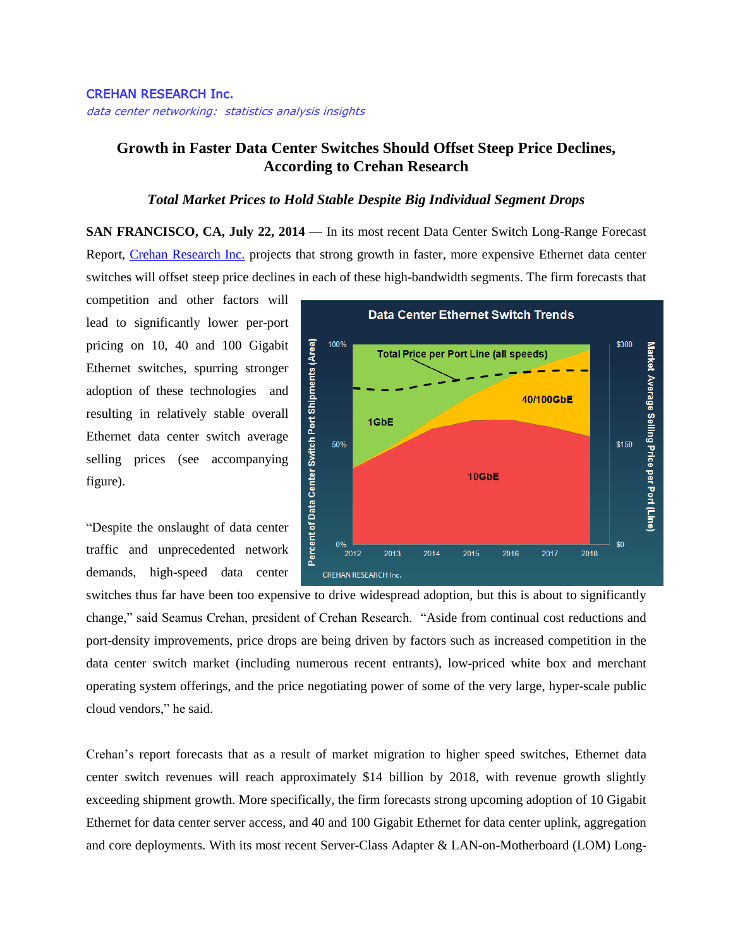## CREHAN RESEARCH Inc.

data center networking: statistics analysis insights

## **Growth in Faster Data Center Switches Should Offset Steep Price Declines, According to Crehan Research**

## *Total Market Prices to Hold Stable Despite Big Individual Segment Drops*

**SAN FRANCISCO, CA, July 22, 2014 —** In its most recent Data Center Switch Long-Range Forecast Report, [Crehan Research Inc.](http://www.crehanresearch.com/) projects that strong growth in faster, more expensive Ethernet data center switches will offset steep price declines in each of these high-bandwidth segments. The firm forecasts that

competition and other factors will lead to significantly lower per-port pricing on 10, 40 and 100 Gigabit Ethernet switches, spurring stronger adoption of these technologies and resulting in relatively stable overall Ethernet data center switch average selling prices (see accompanying figure).

"Despite the onslaught of data center traffic and unprecedented network demands, high-speed data center



switches thus far have been too expensive to drive widespread adoption, but this is about to significantly change," said Seamus Crehan, president of Crehan Research. "Aside from continual cost reductions and port-density improvements, price drops are being driven by factors such as increased competition in the data center switch market (including numerous recent entrants), low-priced white box and merchant operating system offerings, and the price negotiating power of some of the very large, hyper-scale public cloud vendors," he said.

Crehan's report forecasts that as a result of market migration to higher speed switches, Ethernet data center switch revenues will reach approximately \$14 billion by 2018, with revenue growth slightly exceeding shipment growth. More specifically, the firm forecasts strong upcoming adoption of 10 Gigabit Ethernet for data center server access, and 40 and 100 Gigabit Ethernet for data center uplink, aggregation and core deployments. With its most recent Server-Class Adapter & LAN-on-Motherboard (LOM) Long